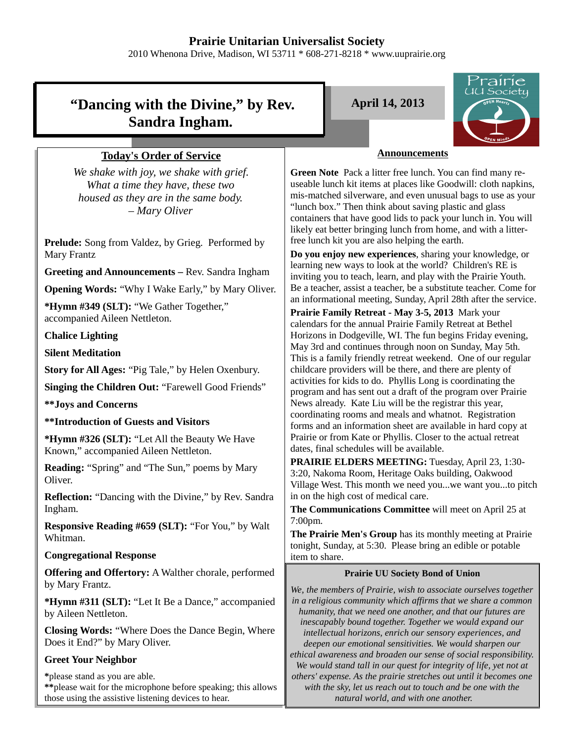# **Prairie Unitarian Universalist Society**

2010 Whenona Drive, Madison, WI 53711 \* 608-271-8218 \* www.uuprairie.org

# **"Dancing with the Divine," by Rev. Sandra Ingham.**

#### **Today's Order of Service**

*We shake with joy, we shake with grief. What a time they have, these two housed as they are in the same body. – Mary Oliver*

**Prelude:** Song from Valdez, by Grieg. Performed by Mary Frantz

**Greeting and Announcements –** Rev. Sandra Ingham

**Opening Words:** "Why I Wake Early," by Mary Oliver.

**\*Hymn #349 (SLT):** "We Gather Together," accompanied Aileen Nettleton.

#### **Chalice Lighting**

**Silent Meditation**

**Story for All Ages:** "Pig Tale," by Helen Oxenbury.

**Singing the Children Out:** "Farewell Good Friends"

**\*\*Joys and Concerns**

**\*\*Introduction of Guests and Visitors**

**\*Hymn #326 (SLT):** "Let All the Beauty We Have Known," accompanied Aileen Nettleton.

**Reading:** "Spring" and "The Sun," poems by Mary Oliver.

**Reflection:** "Dancing with the Divine," by Rev. Sandra Ingham.

**Responsive Reading #659 (SLT):** "For You," by Walt Whitman.

#### **Congregational Response**

**Offering and Offertory:** A Walther chorale, performed by Mary Frantz.

**\*Hymn #311 (SLT):** "Let It Be a Dance," accompanied by Aileen Nettleton.

**Closing Words:** "Where Does the Dance Begin, Where Does it End?" by Mary Oliver.

#### **Greet Your Neighbor**

**\***please stand as you are able. **\*\***please wait for the microphone before speaking; this allows those using the assistive listening devices to hear.

**April 14, 2013**



#### **Announcements**

**Green Note** Pack a litter free lunch. You can find many reuseable lunch kit items at places like Goodwill: cloth napkins, mis-matched silverware, and even unusual bags to use as your "lunch box." Then think about saving plastic and glass containers that have good lids to pack your lunch in. You will likely eat better bringing lunch from home, and with a litterfree lunch kit you are also helping the earth.

**Do you enjoy new experiences**, sharing your knowledge, or learning new ways to look at the world? Children's RE is inviting you to teach, learn, and play with the Prairie Youth. Be a teacher, assist a teacher, be a substitute teacher. Come for an informational meeting, Sunday, April 28th after the service.

**Prairie Family Retreat - May 3-5, 2013** Mark your calendars for the annual Prairie Family Retreat at Bethel Horizons in Dodgeville, WI. The fun begins Friday evening, May 3rd and continues through noon on Sunday, May 5th. This is a family friendly retreat weekend. One of our regular childcare providers will be there, and there are plenty of activities for kids to do. Phyllis Long is coordinating the program and has sent out a draft of the program over Prairie News already. Kate Liu will be the registrar this year, coordinating rooms and meals and whatnot. Registration forms and an information sheet are available in hard copy at Prairie or from Kate or Phyllis. Closer to the actual retreat dates, final schedules will be available.

**PRAIRIE ELDERS MEETING:** Tuesday, April 23, 1:30- 3:20, Nakoma Room, Heritage Oaks building, Oakwood Village West. This month we need you...we want you...to pitch in on the high cost of medical care.

**The Communications Committee** will meet on April 25 at 7:00pm.

**The Prairie Men's Group** has its monthly meeting at Prairie tonight, Sunday, at 5:30. Please bring an edible or potable item to share.

#### **Prairie UU Society Bond of Union**

*We, the members of Prairie, wish to associate ourselves together in a religious community which affirms that we share a common humanity, that we need one another, and that our futures are inescapably bound together. Together we would expand our intellectual horizons, enrich our sensory experiences, and deepen our emotional sensitivities. We would sharpen our ethical awareness and broaden our sense of social responsibility. We would stand tall in our quest for integrity of life, yet not at others' expense. As the prairie stretches out until it becomes one with the sky, let us reach out to touch and be one with the natural world, and with one another.*